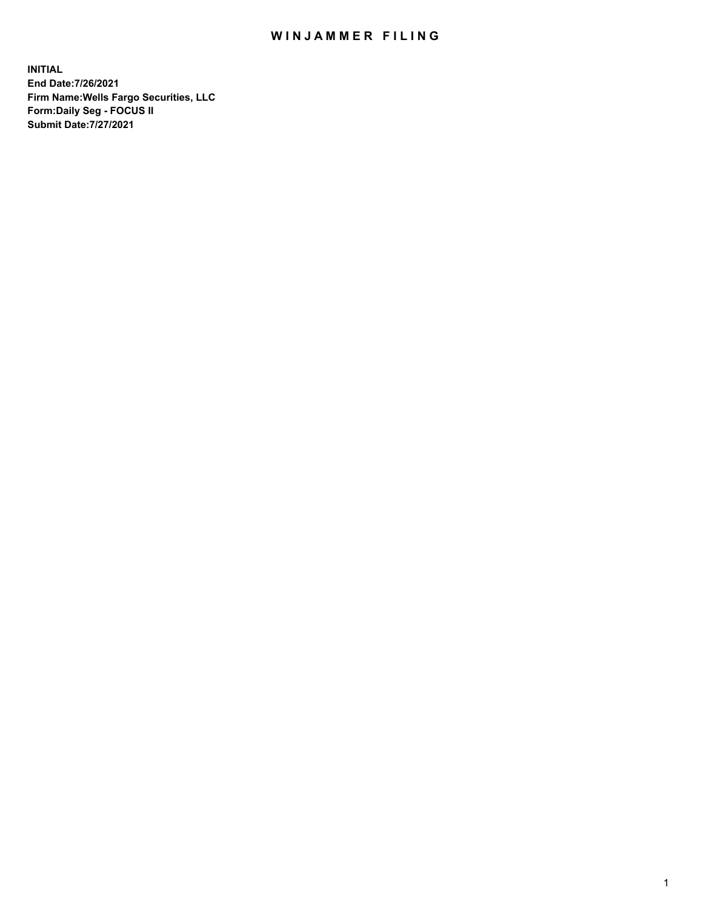## WIN JAMMER FILING

**INITIAL End Date:7/26/2021 Firm Name:Wells Fargo Securities, LLC Form:Daily Seg - FOCUS II Submit Date:7/27/2021**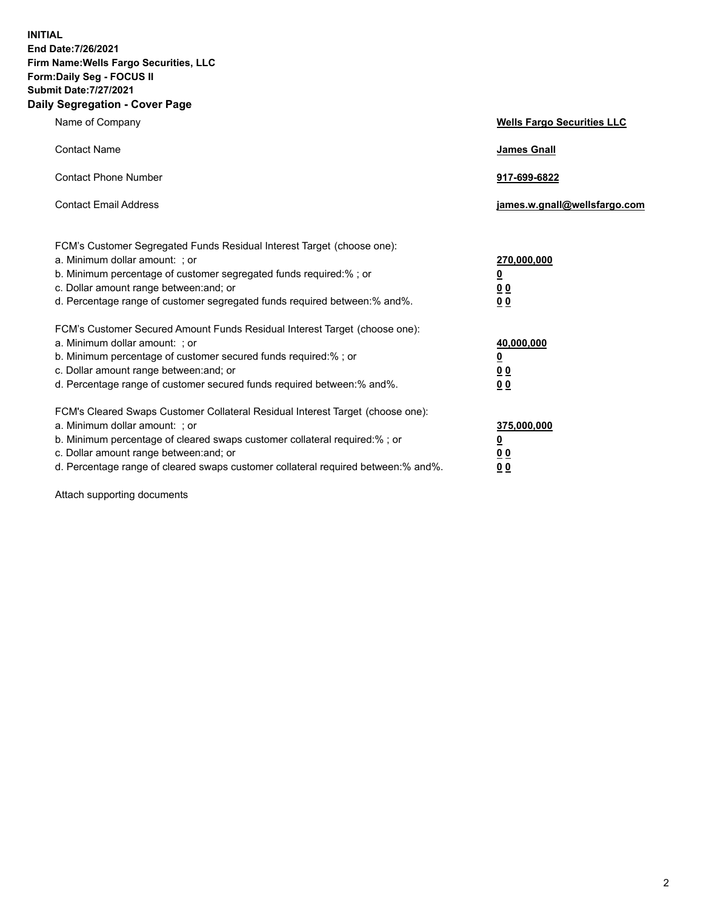**INITIAL End Date:7/26/2021 Firm Name:Wells Fargo Securities, LLC Form:Daily Seg - FOCUS II Submit Date:7/27/2021 Daily Segregation - Cover Page**

| Name of Company                                                                                                                                                                                                                                                                                                                | <b>Wells Fargo Securities LLC</b>                                         |
|--------------------------------------------------------------------------------------------------------------------------------------------------------------------------------------------------------------------------------------------------------------------------------------------------------------------------------|---------------------------------------------------------------------------|
| <b>Contact Name</b>                                                                                                                                                                                                                                                                                                            | <b>James Gnall</b>                                                        |
| <b>Contact Phone Number</b>                                                                                                                                                                                                                                                                                                    | 917-699-6822                                                              |
| <b>Contact Email Address</b>                                                                                                                                                                                                                                                                                                   | james.w.gnall@wellsfargo.com                                              |
| FCM's Customer Segregated Funds Residual Interest Target (choose one):<br>a. Minimum dollar amount: ; or<br>b. Minimum percentage of customer segregated funds required:% ; or<br>c. Dollar amount range between: and; or<br>d. Percentage range of customer segregated funds required between:% and%.                         | 270,000,000<br>$\overline{\mathbf{0}}$<br>0 <sub>0</sub><br>00            |
| FCM's Customer Secured Amount Funds Residual Interest Target (choose one):<br>a. Minimum dollar amount: ; or<br>b. Minimum percentage of customer secured funds required:%; or<br>c. Dollar amount range between: and; or<br>d. Percentage range of customer secured funds required between:% and%.                            | 40,000,000<br>$\overline{\mathbf{0}}$<br>0 <sub>0</sub><br>0 <sub>0</sub> |
| FCM's Cleared Swaps Customer Collateral Residual Interest Target (choose one):<br>a. Minimum dollar amount: ; or<br>b. Minimum percentage of cleared swaps customer collateral required:% ; or<br>c. Dollar amount range between: and; or<br>d. Percentage range of cleared swaps customer collateral required between:% and%. | 375,000,000<br><u>0</u><br>00<br>00                                       |

Attach supporting documents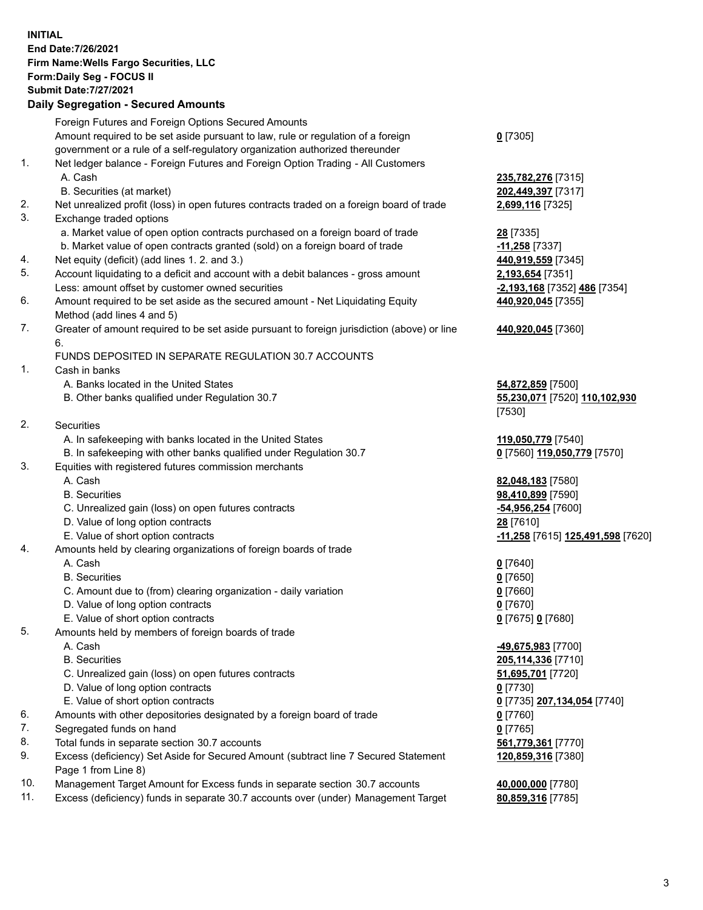**INITIAL End Date:7/26/2021 Firm Name:Wells Fargo Securities, LLC Form:Daily Seg - FOCUS II Submit Date:7/27/2021**

## **Daily Segregation - Secured Amounts**

|    | Foreign Futures and Foreign Options Secured Amounts                                         |                                   |
|----|---------------------------------------------------------------------------------------------|-----------------------------------|
|    | Amount required to be set aside pursuant to law, rule or regulation of a foreign            | $0$ [7305]                        |
|    | government or a rule of a self-regulatory organization authorized thereunder                |                                   |
| 1. | Net ledger balance - Foreign Futures and Foreign Option Trading - All Customers             |                                   |
|    | A. Cash                                                                                     | 235,782,276 [7315]                |
|    | B. Securities (at market)                                                                   | 202,449,397 [7317]                |
| 2. | Net unrealized profit (loss) in open futures contracts traded on a foreign board of trade   | 2,699,116 [7325]                  |
| 3. | Exchange traded options                                                                     |                                   |
|    | a. Market value of open option contracts purchased on a foreign board of trade              | 28 [7335]                         |
|    | b. Market value of open contracts granted (sold) on a foreign board of trade                | -11,258 [7337]                    |
| 4. | Net equity (deficit) (add lines 1. 2. and 3.)                                               | 440,919,559 [7345]                |
| 5. | Account liquidating to a deficit and account with a debit balances - gross amount           | 2,193,654 [7351]                  |
|    | Less: amount offset by customer owned securities                                            | -2,193,168 [7352] 486 [7354]      |
| 6. | Amount required to be set aside as the secured amount - Net Liquidating Equity              | 440,920,045 [7355]                |
|    | Method (add lines 4 and 5)                                                                  |                                   |
| 7. | Greater of amount required to be set aside pursuant to foreign jurisdiction (above) or line | 440,920,045 [7360]                |
|    | 6.                                                                                          |                                   |
|    | FUNDS DEPOSITED IN SEPARATE REGULATION 30.7 ACCOUNTS                                        |                                   |
| 1. | Cash in banks                                                                               |                                   |
|    | A. Banks located in the United States                                                       | 54,872,859 [7500]                 |
|    | B. Other banks qualified under Regulation 30.7                                              | 55,230,071 [7520] 110,102,930     |
|    |                                                                                             | [7530]                            |
| 2. | Securities                                                                                  |                                   |
|    | A. In safekeeping with banks located in the United States                                   | 119,050,779 [7540]                |
|    | B. In safekeeping with other banks qualified under Regulation 30.7                          | 0 [7560] 119,050,779 [7570]       |
| 3. | Equities with registered futures commission merchants                                       |                                   |
|    | A. Cash                                                                                     | 82,048,183 [7580]                 |
|    | <b>B.</b> Securities                                                                        | 98,410,899 [7590]                 |
|    | C. Unrealized gain (loss) on open futures contracts                                         | -54,956,254 [7600]                |
|    | D. Value of long option contracts                                                           | 28 [7610]                         |
|    | E. Value of short option contracts                                                          | -11,258 [7615] 125,491,598 [7620] |
| 4. | Amounts held by clearing organizations of foreign boards of trade                           |                                   |
|    | A. Cash                                                                                     | $0$ [7640]                        |
|    | <b>B.</b> Securities                                                                        | $0$ [7650]                        |
|    | C. Amount due to (from) clearing organization - daily variation                             | $0$ [7660]                        |
|    | D. Value of long option contracts                                                           | $0$ [7670]                        |
|    | E. Value of short option contracts                                                          | 0 [7675] 0 [7680]                 |
| 5. | Amounts held by members of foreign boards of trade                                          |                                   |
|    | A. Cash                                                                                     | 49,675,983 [7700]                 |
|    | <b>B.</b> Securities                                                                        | 205,114,336 [7710]                |
|    | C. Unrealized gain (loss) on open futures contracts                                         | 51,695,701 [7720]                 |
|    | D. Value of long option contracts                                                           | $0$ [7730]                        |
|    | E. Value of short option contracts                                                          | 0 [7735] 207,134,054 [7740]       |
| 6. | Amounts with other depositories designated by a foreign board of trade                      | 0 [7760]                          |
| 7. | Segregated funds on hand                                                                    | $0$ [7765]                        |
| 8. | Total funds in separate section 30.7 accounts                                               | 561,779,361 [7770]                |
| 9. | Excess (deficiency) Set Aside for Secured Amount (subtract line 7 Secured Statement         | 120,859,316 [7380]                |
|    | Page 1 from Line 8)                                                                         |                                   |

- 10. Management Target Amount for Excess funds in separate section 30.7 accounts **40,000,000** [7780]
- 11. Excess (deficiency) funds in separate 30.7 accounts over (under) Management Target **80,859,316** [7785]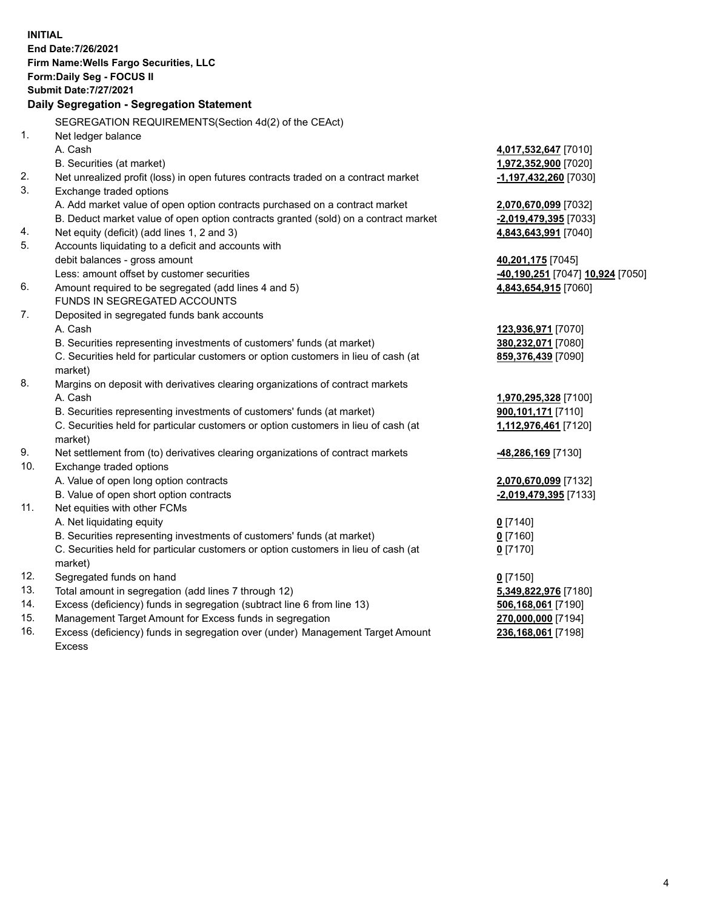**INITIAL End Date:7/26/2021 Firm Name:Wells Fargo Securities, LLC Form:Daily Seg - FOCUS II Submit Date:7/27/2021 Daily Segregation - Segregation Statement** SEGREGATION REQUIREMENTS(Section 4d(2) of the CEAct) 1. Net ledger balance A. Cash **4,017,532,647** [7010] B. Securities (at market) **1,972,352,900** [7020] 2. Net unrealized profit (loss) in open futures contracts traded on a contract market **-1,197,432,260** [7030] 3. Exchange traded options A. Add market value of open option contracts purchased on a contract market **2,070,670,099** [7032] B. Deduct market value of open option contracts granted (sold) on a contract market **-2,019,479,395** [7033] 4. Net equity (deficit) (add lines 1, 2 and 3) **4,843,643,991** [7040] 5. Accounts liquidating to a deficit and accounts with debit balances - gross amount **40,201,175** [7045] Less: amount offset by customer securities **-40,190,251** [7047] **10,924** [7050] 6. Amount required to be segregated (add lines 4 and 5) **4,843,654,915** [7060] FUNDS IN SEGREGATED ACCOUNTS 7. Deposited in segregated funds bank accounts A. Cash **123,936,971** [7070] B. Securities representing investments of customers' funds (at market) **380,232,071** [7080] C. Securities held for particular customers or option customers in lieu of cash (at market) **859,376,439** [7090] 8. Margins on deposit with derivatives clearing organizations of contract markets A. Cash **1,970,295,328** [7100] B. Securities representing investments of customers' funds (at market) **900,101,171** [7110] C. Securities held for particular customers or option customers in lieu of cash (at market) **1,112,976,461** [7120] 9. Net settlement from (to) derivatives clearing organizations of contract markets **-48,286,169** [7130] 10. Exchange traded options A. Value of open long option contracts **2,070,670,099** [7132] B. Value of open short option contracts **-2,019,479,395** [7133] 11. Net equities with other FCMs

- A. Net liquidating equity **0** [7140]
	- B. Securities representing investments of customers' funds (at market) **0** [7160]

C. Securities held for particular customers or option customers in lieu of cash (at market)

- 12. Segregated funds on hand **0** [7150]
- 13. Total amount in segregation (add lines 7 through 12) **5,349,822,976** [7180]
- 14. Excess (deficiency) funds in segregation (subtract line 6 from line 13) **506,168,061** [7190]
- 15. Management Target Amount for Excess funds in segregation **270,000,000** [7194]
- 16. Excess (deficiency) funds in segregation over (under) Management Target Amount Excess

**0** [7170]

**236,168,061** [7198]